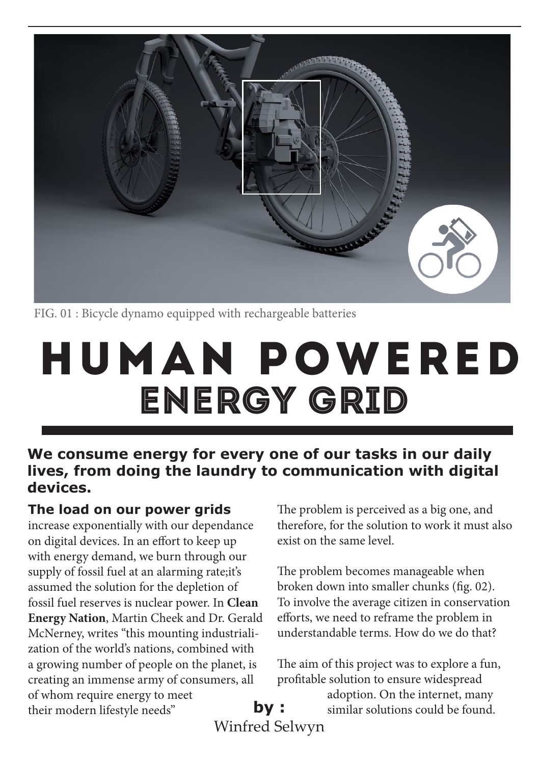

FIG. 01 : Bicycle dynamo equipped with rechargeable batteries

# HUMAN powered energy grid

#### **We consume energy for every one of our tasks in our daily lives, from doing the laundry to communication with digital devices.**

#### **The load on our power grids**

increase exponentially with our dependance on digital devices. In an effort to keep up with energy demand, we burn through our supply of fossil fuel at an alarming rate;it's assumed the solution for the depletion of fossil fuel reserves is nuclear power. In **Clean Energy Nation**, Martin Cheek and Dr. Gerald McNerney, writes "this mounting industrialization of the world's nations, combined with a growing number of people on the planet, is creating an immense army of consumers, all of whom require energy to meet their modern lifestyle needs" **by :** 

The problem is perceived as a big one, and therefore, for the solution to work it must also exist on the same level.

The problem becomes manageable when broken down into smaller chunks (fig. 02). To involve the average citizen in conservation efforts, we need to reframe the problem in understandable terms. How do we do that?

The aim of this project was to explore a fun, profitable solution to ensure widespread

> adoption. On the internet, many similar solutions could be found.

Winfred Selwyn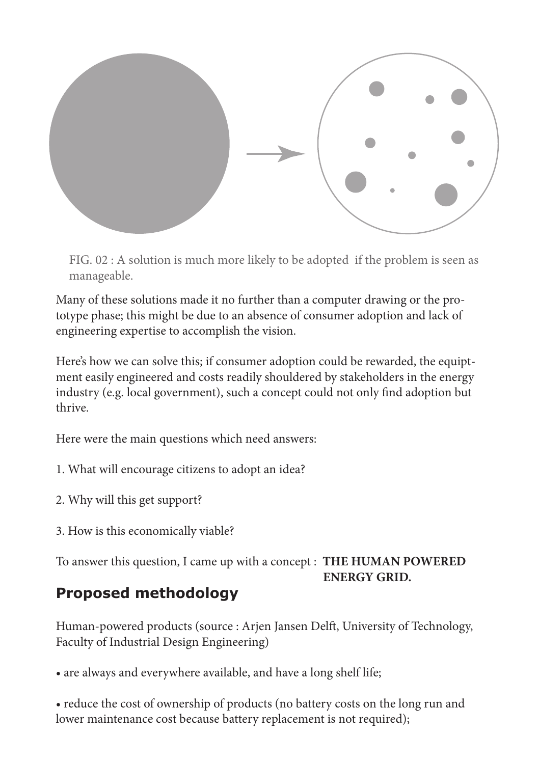

FIG. 02 : A solution is much more likely to be adopted if the problem is seen as manageable.

Many of these solutions made it no further than a computer drawing or the prototype phase; this might be due to an absence of consumer adoption and lack of engineering expertise to accomplish the vision.

Here's how we can solve this; if consumer adoption could be rewarded, the equiptment easily engineered and costs readily shouldered by stakeholders in the energy industry (e.g. local government), such a concept could not only find adoption but thrive.

Here were the main questions which need answers:

- 1. What will encourage citizens to adopt an idea?
- 2. Why will this get support?
- 3. How is this economically viable?

To answer this question, I came up with a concept : **THE HUMAN POWERED ENERGY GRID.**

# **Proposed methodology**

Human-powered products (source : Arjen Jansen Delft, University of Technology, Faculty of Industrial Design Engineering)

• are always and everywhere available, and have a long shelf life;

• reduce the cost of ownership of products (no battery costs on the long run and lower maintenance cost because battery replacement is not required);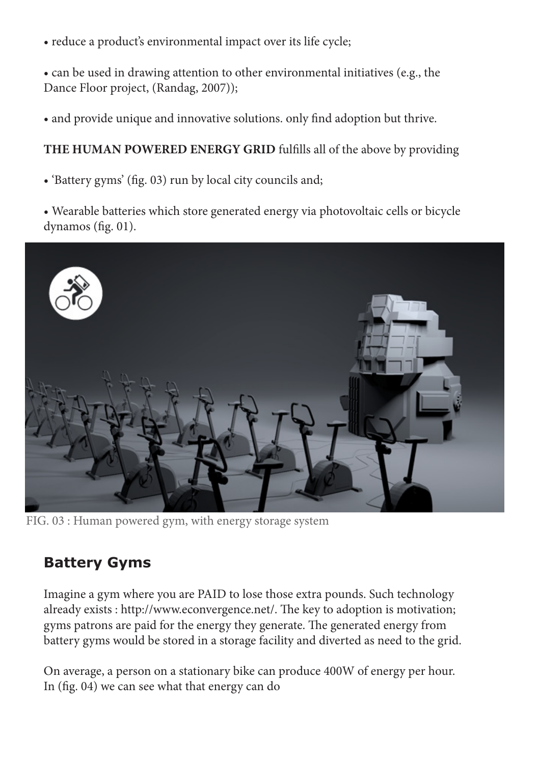• reduce a product's environmental impact over its life cycle;

• can be used in drawing attention to other environmental initiatives (e.g., the Dance Floor project, (Randag, 2007));

• and provide unique and innovative solutions. only find adoption but thrive.

#### **THE HUMAN POWERED ENERGY GRID** fulfills all of the above by providing

• 'Battery gyms' (fig. 03) run by local city councils and;

• Wearable batteries which store generated energy via photovoltaic cells or bicycle dynamos (fig. 01).



FIG. 03 : Human powered gym, with energy storage system

#### **Battery Gyms**

Imagine a gym where you are PAID to lose those extra pounds. Such technology already exists : http://www.econvergence.net/. The key to adoption is motivation; gyms patrons are paid for the energy they generate. The generated energy from battery gyms would be stored in a storage facility and diverted as need to the grid.

On average, a person on a stationary bike can produce 400W of energy per hour. In (fig. 04) we can see what that energy can do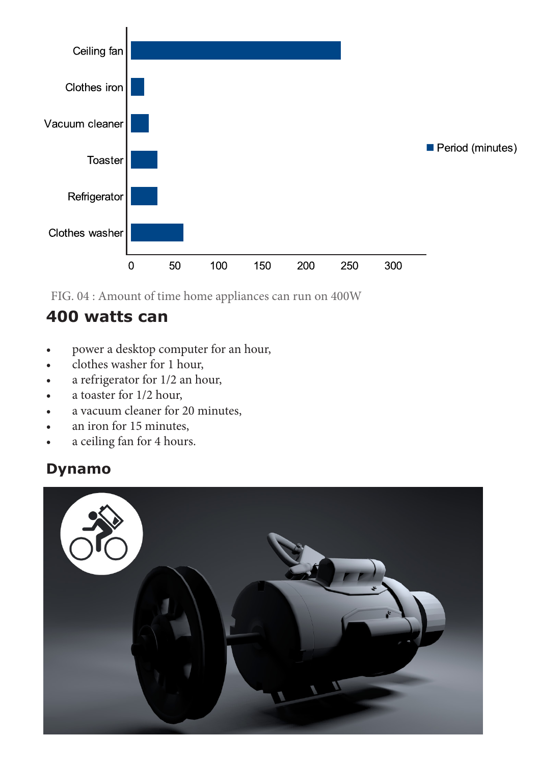

FIG. 04 : Amount of time home appliances can run on 400W

### **400 watts can**

- power a desktop computer for an hour,
- clothes washer for 1 hour,
- a refrigerator for  $1/2$  an hour,
- a toaster for 1/2 hour,
- a vacuum cleaner for 20 minutes,
- an iron for 15 minutes,
- a ceiling fan for 4 hours.

#### **Dynamo**